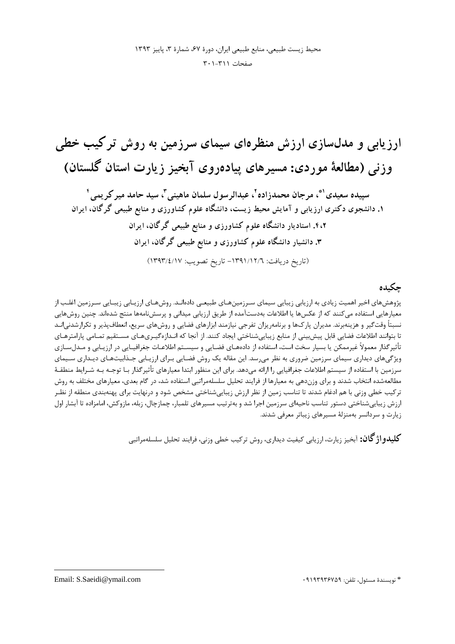محيط زيست طبيعي، منابع طبيعي ايران، دورة ۶۷، شمارة ٣، ياييز ١٣٩٣ صفحات ٢٠١-٢٠١

ارزیابی و مدلسازی ارزش منظرهای سیمای سرزمین به روش ترکیب خطی وزنی (مطالعهٔ موردی: مسیرهای پیاده٫وی آبخیز زیا٫ت استان گلستان)

سييده سعيدي '\*، مرجان محمدزاده '، عبدالرسول سلمان ماهيني "، سيد حامد مير كريمي ' ۱. دانشجوی دکتری ارزیابی و آمایش محیط زیست، دانشگاه علوم کشاورزی و منابع طبیعی گرگان، ایران ۴،۲. استادیار دانشگاه علوم کشاورزی و منابع طبیعی گرگان، ایران ۳. دانشیار دانشگاه علوم کشاورزی و منابع طبیعی گرگان، ایران (تاريخ دريافت: ١٣٩١/١٢/٦- تاريخ تصويب: ١٣٩٣/٤/١٧)

## حكىدە

پژوهشهای اخیر اهمیت زیادی به ارزیابی زیبایی سیمای سـرزمینهـای طبیعـی دادهانـد. روشهـای ارزیـابی زیبـایی سـرزمین اغلـب از معیارهایی استفاده می کنند که از عکسها یا اطلاعات بهدستآمده از طریق ارزیابی میدانی و پرسشنامهها منتج شدهاند. چنین روشهایی نسبتأ وقتگير و هزينهبرند. مديران پارکها و برنامهريزان تفرجي نيازمند ابزارهاي فضايي و روشهاي سريع، انعطافپذير و تكرارشدني|نـد تا بتوانند اطلاعات فضایی قابل پیشبینی از منابع زیباییشناختی ایجاد کنند. از آنجا که انـدازهگیـریهـای مسـتقیم تمـامی پارامترهـای .<br>تأثیرگذار معمولاً غیرممکن یا بسیار سخت است، استفاده از دادههـای فضـایی و سیسـتم اطلاعـات جغرافیـایی در ارزیـابی و مـدلِسـازی ویژگیهای دیداری سیمای سرزمین ضروری به نظر میرسد. این مقاله یک روش فضـایی بـرای ارزیـابی جـذابیتهـای دیـداری سـیمای سرزمین با استفاده از سیستم اطلاعات جغرافیایی را ارائه میدهد. برای این منظور ابتدا معیارهای تأثیر گذار بـا توجـه بـه شـرایط منطقـهٔ مطالعهشده انتخاب شدند و برای وزندهی به معیارها از فرایند تحلیل سلسلهمراتبی استفاده شد، در گام بعدی، معیارهای مختلف به روش ترکیب خطی وزنی با هم ادغام شدند تا تناسب زمین از نظر ارزش زیبایی،شناختی مشخص شود و درنهایت برای پهنهبندی منطقه از نظـر ارزش زیباییشناختی دستور تناسب ناحیهای سرزمین اجرا شد و بهترتیب مسیرهای تلمبار، چمازچال، زبله، مازوکش، امامزاده تا آبشار اول زیارت و سردانسر بهمنزلهٔ مسیرهای زیباتر معرفی شدند.

**كليلدو اژ گان:** آيخيز زيارت، ارزيابي كيفيت ديداري، روش تركيب خطي وزني، فرايند تحليل سلسلهمراتبي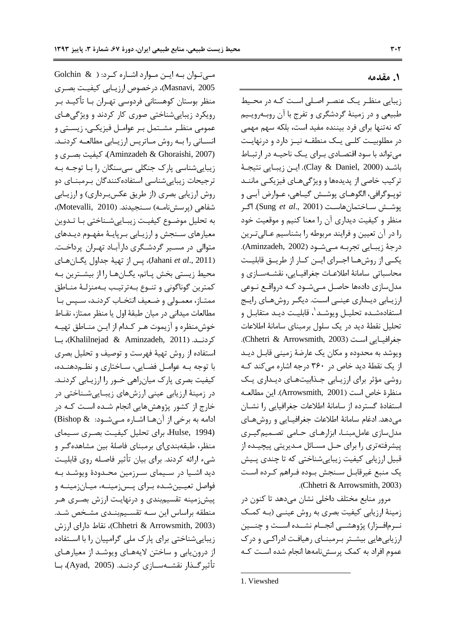مهی توان به این موارد اشاره کرد: ( Golchin & Masnavi, 2005)، درخصوص ارزیبایی کیفیت بصری منظر بوستان کوهستانی فردوسی تهـران بــا تأکیــد بــر رویکرد زیبایی شناختی صوری کار کردند و ویژگی های عمومی منظـر مشـتمل بـر عوامـل فیزیکـی، زیسـتی و انسـاني را بـه روش مـاتريس ارزيـابي مطالعـه كردنـد. (Aminzadeh & Ghoraishi, 2007)، كيفيت بصرى و زیباییشناسی پارک جنگلی سیسنگان را با توجـه بـه ترجیحات زیبایی شناسی استفاده کنندگان بـرمبنـای دو روش ارزیابی بصری (از طریق عکسبرداری) و ارزیـابی شفاهي (يرسش نامـه) سـنجيدند. (Motevalli, 2010)، به تحليل موضــوع كيفيــت زيبــاييشــناختي بــا تــدوين معیارهای سـنجش و ارزیـابی بـرپایـهٔ مفهـوم دیـدهای متوالي در مسـير گردشـگري دارآبـاد تهـران پرداخـت. (Jahani et al., 2011)، پس از تهيهٔ جداول يگـانهـاى محيط زيستي بخش پـاتم، يگـانهـا را از بيشـترين بـه كمترين گوناگوني و تنـوع بـهترتيـب بـهمنزلـهٔ منـاطق ممتـاز، معمـولي و ضـعيف انتخـاب كردنـد، سـپس بـا مطالعات میدانی در میان طبقهٔ اول یا منظر ممتاز، نقـاط خوش منظره و آزیموت هـر كـدام از ایـن منـاطق تهیـه كردنــد. (Khalilnejad & Aminzadeh, 2011)، بــا استفاده از روش تهيهٔ فهرست و توصيف و تحليل بصرى با توجه بـه عوامـل فضـایی، سـاختاری و نظـه۵هنـده، کیفیت بصری پارک میان راهی خــور را ارزیــابی کردنــد. در زمینهٔ ارزیابی عینی ارزشهای زیبـاییشـناختی در خارج از کشور پژوهشهایی انجام شـده اسـت کـه در ادامه به برخی از آنها اشاره میشود: & Bishop) Hulse, 1994). برای تحلیل کیفیت بصری سیمای منظر، طبقهبندیای برمبنای فاصلهٔ بین مشاهدهگر و شيء ارائه كردند. براي بيان تأثير فاصله روى قابليت دید اشـیا در سـیمای سـرزمین محـدودهٔ ویوشـد بـه فواصل تعیـینشـده بـرای پـس;مینـه، میـان;مینـه و پیشزمینه تقسیمبندی و درنهایت ارزش بصری هر منطقه براساس این سـه تقسـیمبنـدی مشـخص شـد. (Chhetri & Arrowsmith, 2003)، نقاط دارای ارزش زیبایی شناختی برای پارک ملی گرامپیان را با استفاده از درون یابی و ساختن لایههـای ویوشـد از معیارهـای تأثیر *گ*ــذار نقشــەســازی کردنــد. (Ayad, 2005)، بــا

#### ١. مقدمه

زیبایی منظر یک عنصر اصلی است کـه در محـیط طبیعی و در زمینهٔ گردشگری و تفرج با آن روبـهرویـیم که نهتنها برای فرد بیننده مفید است، بلکه سهم مهمی در مطلوبیـت کلـی یـک منطقـه نیـز دارد و درنهایـت میتواند با سود اقتصادی برای یک ناحیـه در ارتبـاط باشـد (Clay & Daniel, 2000). ايـن زيبـايي نتيجـهٔ ترکیب خاصی از پدیدهها و ویژگیههای فیزیکی ماننـد توپــوگرافي، الگوهــاي پوشــش گيــاهي، عــوارض آبــي و پوشــش ســاختمانهاســت (Sung et al., 2001). اگـر منظر و کیفیت دیداری آن را معنا کنیم و موقعیت خود را در آن تعیین و فرایند مربوطه را بشناسیم عـالی تـرین درجة زيبـايي تجربـه مـيشـود (Aminzadeh, 2002). یکے از روشهـا اجـرای ایـن کـار از طریــق قابلیــت محاسباتي سامانهٔ اطلاعـات جغرافيـايي، نقشـهسـازي و مدلسازی دادهها حاصـل مـیشـود کـه درواقـع نـوعی ارزیـابی دیـداری عینــی اسـت. دیگــر روشهـای رایـج استفادهشـده تحليـل ويوشـد ٰ، قابليـت ديـد متقابـل و تحلیل نقطهٔ دید در یک سلول برمبنای سامانهٔ اطلاعات جغرافيـايي اسـت (Chhetri & Arrowsmith, 2003). ویوشد به محدوده و مکان یک عارضهٔ زمینی قابـل دیـد از یک نقطهٔ دید خاص در ۳۶۰ درجه اشاره می کند کـه روشی مؤثر برای ارزیـابی جـذابیتهـای دیـداری یـک منظرة خاص است (Arrowsmith, 2001). اين مطالعـه استفادهٔ گسترده از سامانهٔ اطلاعات جغرافیایی را نشـان می دهد. ادغام سامانهٔ اطلاعات جغرافیـایی و روشهـای مدل سازی عامل مبنــا، ابزارهـای حـامی تصـمیم گیــری پیشرفتهتری را برای حـل مسـائل مـدیریتی پیچیـده از قبیل ارزیابی کیفیت زیباییشناختی که تا چندی پـیش يک منبع غيرقابـل سـنجش بـوده فـراهم کـرده اسـت .(Chhetri & Arrowsmith, 2003).

مرور منابع مختلف داخلي نشان مي دهد تا كنون در زمینهٔ ارزیابی کیفیت بصری به روش عینـی (بـه کمـک نـرمافـزار) پژوهشــی انجــام نشــده اســت و چنــین ارزیابیهایی بیشتر برمبنای رهیافت ادراکبی و درک عموم افراد به کمک پرسشنامهها انجام شده است کـه

<sup>1.</sup> Viewshed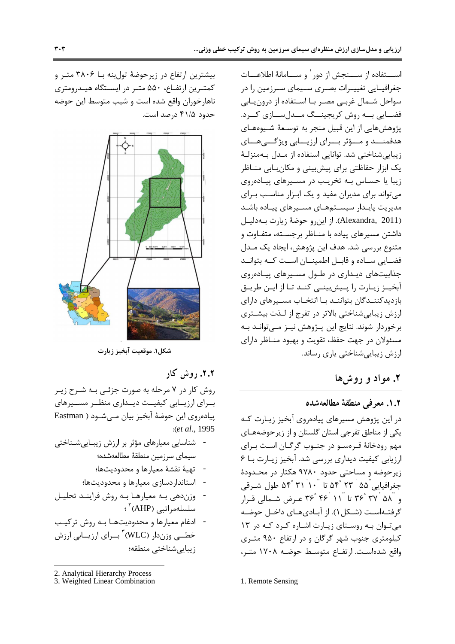اســـتفاده از ســـنجش از دور` و ســـامانهٔ اطلاعـــات جغرافیــایی تغییــرات بصــری ســیمای ســرزمین را در سواحل شـمال غربـي مصـر بـا اسـتفاده از درون يـابي فضایی به روش کریجینگ مدل سازی کـرد. پژوهشهایی از این قبیل منجر به توسعهٔ شـیوههـای هدفمنــد و مــؤثر بــراى ارزيــابى ويژگـــى هــاى زيبايي شناختي شد. توانايي استفاده از مـدل بـهمنزلـهٔ یک ابزار حفاظتی برای پیشبینی و مکان بابی منـاظر زیبا یا حسـاس بـه تخریـب در مسـیرهای پیـادهروی می تواند برای مدیران مفید و یک ابزار مناسب برای مدیریت پایـدار سیسـتمهـای مسـیرهای پیـاده باشـد (Alexandra, 2011). از این رو حوضهٔ زیارت به دلیل داشتن مسیرهای پیاده با منـاظر برجسـته، متفـاوت و متنوع بررسی شد. هدف این پژوهش، ایجاد یک مـدل فضـایی سـاده و قابـل اطمینــان اسـت کــه بتوانــد جذابیتهای دیداری در طول مسیرهای پیادهروی آبخیـز زیـارت را پـیشبینــی کنـد تـا از ایـن طریـق بازدیدکننـدگان بتواننـد بـا انتخـاب مسـیرهای دارای ارزش زیباییشناختی بالاتر در تفرج از لـذت بیشـتری برخوردار شوند. نتايج اين پـژوهش نيـز مـيتوانـد بـه مسئولان در جهت حفظ، تقويت و بهبود منـاظر داراي ارزش زیبایی شناختی پاری رساند.

## ٢. مواد و روشها

## ١.٢. معرفي منطقة مطالعهشده

در این پژوهش مسیرهای پیادهروی آبخیز زیـارت کـه یکی از مناطق تفرجی استان گلستان و از زیر حوضههـای مهم رودخانهٔ قـرەســو در جنــوب گرگــان اسـت بــراي ارزیابی کیفیت دیداری بررسی شد. آبخیز زیارت با ۶ زیرحوضه و مساحتی حدود ۹۷۸۰ هکتار در محـدودهٔ جغرافیایی ّ۵۵ ٔ ۲۳ ۴۵ تا ۳۱ ۵۴ ۴۴ طول شـرقی و "۳۶° ۳۶ تا "۱۱ '۴۶° ۴۶ عـرض شـمالي قـرار گرفتـهاسـت (شـكل ۱). از آبـادىهـاى داخـل حوضـه می توان به روستای زیارت اشاره کرد که در ١٣ کیلومتری جنوب شهر گرگان و در ارتفاع ۹۵۰ متری واقع شده است. ارتفـاع متوسـط حوضـه ١٧٠٨ متـر،

بیشترین ارتفاع در زیرحوضهٔ تولبنه بــا ۳۸۰۶ متـر و كمترين ارتفاع، ۵۵۰ متر در ايستگاه هيدرومترى ناهارخوران واقع شده است و شیب متوسط این حوضه حدود ۴۱/۵ درصد است.



شكل۱. موقعيت آبخيز زيارت

۲.۲. روش کار

روش کار در ۷ مرحله به صورت جزئـی بـه شـرح زيـر بــراي ارزيـــابي كيفيــت ديــداري منظــر مســيرهاي پیادهروی این حوضهٔ آبخیز بیان مےشود ( Eastman :(et al., 1995)

- شناسایی معیارهای مؤثر بر ارزش زیباییشناختی سيماي سرزمين منطقهٔ مطالعهشده؛ - تهيهٔ نقشهٔ معيارها و محدوديتها؛ - استانداردسازی معیارها و محدودیتها؛ - وزندهي به معيارها به روش فرايند تحليل سلسلەمراتبى (AHP) '؛
- ادغام معيارها و محدوديتها بـه روش تركيب خطــي وزندار (WLC)<sup>۳</sup> بــراي ارزيـــابي ارزش زيبايى شناختى منطقه؛

3. Weighted Linear Combination

<sup>1.</sup> Remote Sensing

<sup>2.</sup> Analytical Hierarchy Process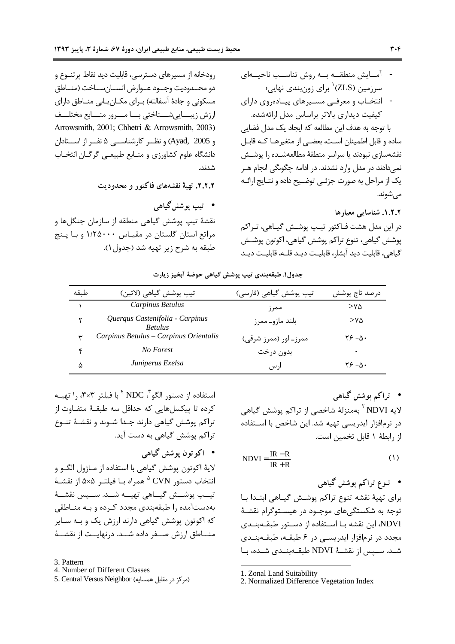رودخانه از مسیرهای دسترسی، قابلیت دید نقاط پرتنــوع و دو محــدوديت وجــود عــوارض انســان ســاخت (منــاطق مسکونی و جادهٔ آسفالته) بـرای مکـانِیـابی منـاطق دارای ارزش زيبسايي شسناختي بسا مسرور منسابع مختلسف Arrowsmith, 2001; Chhetri & Arrowsmith, 2003) و Ayad, 2005) و نظــر كارشناســي ۵ نفــر از اســتادان دانشگاه علوم کشاورزی و منـابع طبیعـی گرگـان انتخـاب شدند.

٢.٢.٢. تهية نقشههاي فاكتور و محدوديت

● تيپ يوشش گياهي نقشهٔ تیپ پوشش گیاهی منطقه از سازمان جنگلها و مراتع استان گلستان در مقیـاس ۱/۲۵۰۰۰ و بـا پـنج طبقه به شرح زير تهيه شد (جدول ۱).

در این مدل هشت فـاکتور تیـپ پوشـش گیـاهی، تـراکم پوشش گیاهی، تنوع تراکم پوشش گیاهی، اکوتون پوشش گياهي، قابليت ديد آبشار، قابليـت ديـد قلـه، قابليـت ديـد

جدول١. طبقهبندي تيپ پوشش گياهي حوضهٔ آبخيز زيارت

| طىقە         | تيپ پوشش گياهي (لاتين)                            | تیپ پوشش گیاهی (فارسی) | درصد تاج پوشش    |
|--------------|---------------------------------------------------|------------------------|------------------|
|              | Carpinus Betulus                                  | ممر ز                  | >Y∆              |
|              | Querqus Castenifolia - Carpinus<br><b>Betulus</b> | بلند مازو۔ ممرز        | $>\!\!v\!\Delta$ |
| $\checkmark$ | Carpinus Betulus - Carpinus Orientalis            | ممرز۔ لور (ممرز شرقی)  | 0− ۱۶ ۲۶         |
| ۴            | No Forest                                         | بدون درخت              | ٠                |
| ۵            | Juniperus Exelsa                                  | ار س                   | ۰۸– ۲۶           |

استفاده از دستور الگو "، NDC <sup>۴</sup> با فیلتر ۳×۳، را تهیــه كرده تا پيكسلهايي كه حداقل سه طبقـهٔ متفـاوت از تراکم پوشش گیاهی دارند جـدا شـوند و نقشـهٔ تنـوع تراکم یوشش گیاهی به دست آید.

# • اکو تون يوشش گياهي لايهٔ اکوتون پوشش گياهي با استفاده از مــاژول الگــو و انتخاب دستو, CVN <sup>۵</sup> همراه بـا فيلتـر ۵×۵ از نقشـهٔ تيــب يوشــش گيــاهي تهيــه شــد. ســيس نقشــهٔ بهدستآمده ,ا طبقهبندی مجدد کـرده و بـه منـاطقی که اکوتون پوشش گیاهی دارند ارزش یک و بـه سـایر منـــاطق ارزش صـــفر داده شـــد. درنهايــت از نقشـــهٔ

- 3. Pattern
- 4. Number of Different Classes
- 5. Central Versus Neighbor (مركز در مقابل همسايه)

• تراکم پوشش گیاهی لایه NDVI <sup>۲</sup> بهمنزلهٔ شاخصی از تراکم پوشش گیاهی در نرمافزار ایدریسی تهیه شد. این شاخص با استفاده از رابطهٔ ۱ قابل تخمین است.

$$
NDVI = \frac{IR - R}{IR + R}
$$
 (1)

برای تهیهٔ نقشه تنوع تراکم پوشش گیـاهی ابتـدا بـا توجه به شکستگیهای موجـود در هیسـتوگرام نقشـهٔ NDVI، این نقشه بـا اسـتفاده از دسـتور طبقـهبنـدی مجدد در نرمافزار ایدریسی در ۶ طبقـه، طبقـهبنـدی شـد. سـيس از نقشـهٔ NDVI طبقــهبنــدي شــده، بــا

2. Normalized Difference Vegetation Index

<sup>1.</sup> Zonal Land Suitability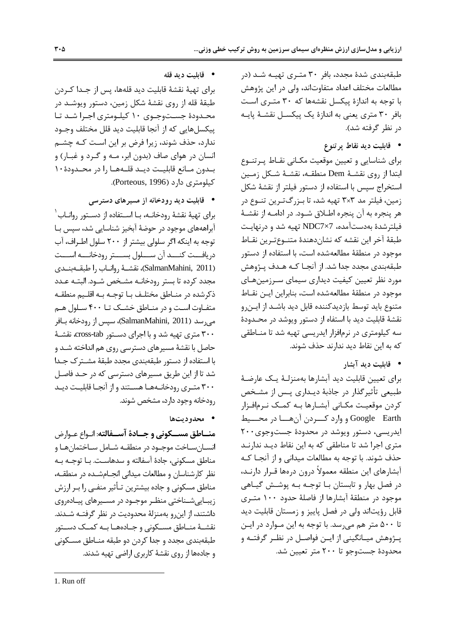طبقهبندی شدهٔ مجدد، بافر ۳۰ متـری تهیـه شـد (در مطالعات مختلف اعداد متفاوتاند، ولي در اين پژوهش با توجه به اندازهٔ پیکسل نقشهها که ۳۰ متری است بافر ۳۰ متری یعنی به اندازهٔ یک پیکسـل نقشـهٔ پایـه در نظر گرفته شد).

• قابليت ديد نقاط پرتنوع

برای شناسایی و تعیین موقعیت مکـانی نقـاط پـرتنـوع ابتدا از روى نقشــهٔ Dem منطقــه، نقشــهٔ شــكل زمــين استخراج سپس با استفاده از دستور فیلتر از نقشهٔ شکل زمین، فیلتر مد ۳×۳ تهیه شد، تا بـزرگتـرین تنـوع در هر پنجره به آن پنجره اطـلاق شـود. در ادامـه از نقشـهٔ فیلترشدهٔ بهدستآمده، NDC7×7 تهیه شد و درنهایت طبقهٔ آخر این نقشه که نشاندهندهٔ متنوع ترین نقـاط موجود در منطقهٔ مطالعهشده است، با استفاده از دستور طبقهبندی مجدد جدا شد. از آنجـا کـه هـدف پـژوهش مورد نظر تعیین کیفیت دیداری سیمای سـرزمینهـای موجود در منطقهٔ مطالعهشده است، بنابراین ایـن نقـاط متنوع باید توسط بازدیدکننده قابل دید باشـد از ایـنرو نقشهٔ قابلیت دید با استفاه از دستور ویوشد در محـدودهٔ سه کیلومتری در نرمافزار ایدریسی تهیه شد تا منـاطقی كه به اين نقاط ديد ندارند حذف شوند.

• قابلیت دید آیشار

برای تعیین قابلیت دید آبشارها بهمنزلـهٔ یـک عارضـهٔ طبیعی تأثیرگذار در جاذبهٔ دیـداری پـس از مشـخص كردن موقعيت مكـاني آبشـارها بـه كمـك نـرمافـزار Google Earth و وارد كسردن آن هسا در محسيط ایدریسی، دستور ویوشد در محدودهٔ جستوجوی۲۰۰ متری اجرا شد تا مناطقی که به این نقاط دیـد ندارنـد حذف شوند. با توجه به مطالعات میدانی و از آنجـا کـه آبشارهای این منطقه معمولاً درون درمها قـرار دارنـد، در فصل بهار و تابستان بـا توجـه بـه پوشـش گيـاهي موجود در منطقهٔ آبشارها از فاصلهٔ حدود ۱۰۰ متـری قابل رؤیتاند ولی در فصل پاییز و زمستان قابلیت دید تا ۵۰۰ متر هم می رسد. با توجه به این مـوارد در ایـن پــژوهش ميــانگيني از ايــن فواصــل در نظــر گرفتــه و محدودهٔ جستوجو تا ۲۰۰ متر تعیین شد.

● قابليت ديد قله

براي تهيهٔ نقشهٔ قابليت ديد قلهها، پس از جـدا كـردن طبقهٔ قله از روی نقشهٔ شکل زمین، دستور ویوشـد در محـدودهٔ جسـتوجـوی ۱۰ کیلـومتری اجـرا شـد تـا ييكسلهايي كه از آنجا قابليت ديد قلل مختلف وجـود ندارد، حذف شوند، زیرا فرض بر این است کـه چشـم انسان در هوای صاف (بدون ابر، مـه و گـرد و غبــار) و بـدون مـانع قابليـت ديـد قلــهـا را در محــدودۀ١٠ کیلومتری دارد (Porteous, 1996).

• قابلیت دید رودخانه از مسیرهای دسترسی

برای تهیهٔ نقشهٔ رودخانــه، بــا اســتفاده از دســتور روانــاب <sup>۱</sup> آبراهههای موجود در حوضهٔ آبخیز شناسایی شد، سپس بـا توجه به اینکه اگر سلولی بیشتر از ۲۰۰ سلول اطـراف، آب دريافـــت كنـــد آن ســـلول بســـتر رودخانـــه اســـت (SalmanMahini, 2011)، نقشــهٔ روانــاب را طبقــهبنــدى مجدد كرده تا بستر رودخانــه مشــخص شــود. البتــه عــدد ذكرشده در منـاطق مختلـف بـا توجـه بـه اقلـيم منطقـه متفـاوت اسـت و در منـاطق خشـک تـا ۴۰۰ سـلول هـم میرسد (SalmanMahini, 2011)، سپس از رودخانه بـافر ۳۰۰ متری تهیه شد و با اجرای دستور cross-tab نقشـهٔ حاصل با نقشهٔ مسیرهای دسترسی روی هم انداخته شـد و با استفاده از دستور طبقهبندی مجدد طبقهٔ مشترک جـدا شد تا از این طریق مسیرهای دسترسی که در حـد فاصـل ۳۰۰ متـری رودخانـههـا هسـتند و از آنجـا قابليـت ديـد رودخانه وجود دارد، مشخص شوند.

• محدودتها

منــاطق مســكوني و جــادهٔ آســفالته: انـواع عــوارض انســان ســاخت موجــود در منطقــه شــامل ســاختمان هــا و مناطق مسكوني، جادة آسفالته و سدهاست. بـا توجـه بـه نظر کارشناسان و مطالعات میدانی انجـامشـده در منطقـه، مناطق مسکونی و جاده بیشترین تـأثیر منفــی را بــر ارزش زیبایی شـناختی منظـر موجـود در مسـیرهای پیـادهروی داشتند، از این و بهمنزلهٔ محدودیت در نظر گرفتـه شـدند. نقشـهٔ منــاطق مســکونی و جــادههــا بــه کمــک دســتور طبقەبندى مجدد و جدا كردن دو طبقه منــاطق مســكونى و جادهها از روی نقشهٔ کاربری اراضی تهیه شدند.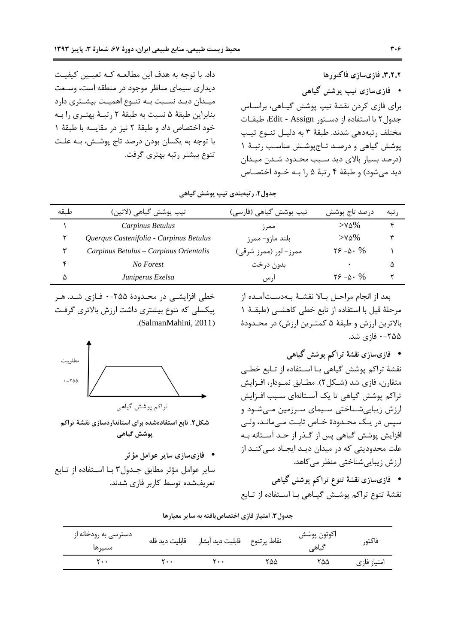داد. با توجه به هدف این مطالعـه کـه تعیـین کیفیـت دیداری سیمای مناظر موجود در منطقه است، وسـعت میـدان دیـد نسـبت بـه تنـوع اهمیـت بیشـتری دارد بنابراین طبقهٔ ۵ نسبت به طبقهٔ ۲ رتبهٔ بهتری را به خود اختصاص داد و طبقهٔ ۲ نیز در مقایسه با طبقهٔ ۱ با توجه به یکسان بودن درصد تاج پوشـش، بـه علـت تنوع بیشتر رتبه بهتری گرفت.

خطی افزایشی در محدودهٔ ۲۵۵-۰ فـازی شـد. هـر

پیکسلی که تنوع بیشتری داشت ارزش بالاتری گرفت

نراکم یوشش گیاهی

شکل۲. تابع استفادهشده برای استانداردسازی نقشهٔ تراکم پوشش گیاهی

سایر عوامل مؤثر مطابق جـدول۳ بـا اسـتفاده از تـابع

.(SalmanMahini, 2011)

● فازىسازى ساير عوامل مؤثر

تعریفشده توسط کاربر فازی شدند.

۲.۲.۲. فازیسازی فاکتو رها • فازی سازی تیپ پوشش گیاهی برای فازی کردن نقشهٔ تیپ یوشش گیـاهی، براسـاس جدول ۲ با استفاده از دسـتور Edit - Assign، طبقـات مختلف رتبهدهي شدند. طبقهٔ ۳ به دليـل تنـوع تيـب پوشش گیاهی و درصد تاج پوشش مناسب رتبهٔ ۱ (درصد بسيار بالاي ديد سـبب محـدود شـدن ميـدان ديد مي شود) و طبقهٔ ۴ رتبهٔ ۵ را بـه خـود اختصـاص

جدول۲. رتبهبندی تیپ پوشش گیاهی

| طىقە | تيپ پوشش گياهي (لاتين)                  | تیپ پوشش گیاهی (فارسی) | درصد تاج پوشش           | ر تبه |
|------|-----------------------------------------|------------------------|-------------------------|-------|
|      | Carpinus Betulus                        | ممر ز                  | $>$ Y $\Delta\%$        |       |
|      | Querqus Castenifolia - Carpinus Betulus | بلند مازو- ممرز        | $>$ Y $\Delta\%$        | ۳     |
|      | Carpinus Betulus – Carpinus Orientalis  | ممرز – لور (ممرز شرقی) | $Y^2 - \Delta \cdot \%$ |       |
|      | No Forest                               | بدون درخت              |                         | Δ     |
| ۵    | Juniperus Exelsa                        | ار س                   | $52 - 0.96$             |       |

بعد از انجام مراحـل بـالا نقشـهٔ بـهدسـتآمـده از مرحلهٔ قبل با استفاده از تابع خطی کاهشـی (طبقـهٔ ۱ بالاترين ارزش و طبقهٔ ۵ كمتـرين ارزش) در محـدودهٔ ۲۵۵–۰ فازی شد.

• فازىسازى نقشهٔ تراكم پوشش گياهى

نقشهٔ تراکم پوشش گیاهی بـا اسـتفاده از تـابع خطـی متقارن، فازي شد (شـكل۲). مطـابق نمــودار، افــزايش تراکم پوشش گیاهی تا یک آسـتانهای سـبب افـزایش ارزش زیباییشـناختی سـیمای سـرزمین مـیشـود و سیس در یک محـدودۂ خـاص ثابـت مـی،مانـد، ولـی افزایش پوشش گیاهی پس از گـذر از حـد آسـتانه بـه علت محدودیتی که در میدان دیـد ایجـاد مـیکنـد از ارزش زیبایی شناختی منظر می کاهد.

• فازیسازی نقشهٔ تنوع تراکم پوشش گیاهی نقشهٔ تنوع تراکم یوشــش گیــاهی بــا اســتفاده از تــابع

|                                 |                | .                              |      |                      |             |
|---------------------------------|----------------|--------------------------------|------|----------------------|-------------|
| دسترسی به رودخانه از<br>مسير ها | قابلىت دىد قلە | نقاط پرتنوع ۃ قابلیت دید آبشار |      | اكوتون پوشش<br>گیاهی | فاكتور      |
| ۲۰۰                             | ٢٠٠            | ۲.۰                            | ۲۵۵. | ۲۵۵.                 | امتياز فازى |

|  |  |  | جدول۳. امتیاز فازی اختصاص یافته به سایر معیارها |  |  |  |
|--|--|--|-------------------------------------------------|--|--|--|
|--|--|--|-------------------------------------------------|--|--|--|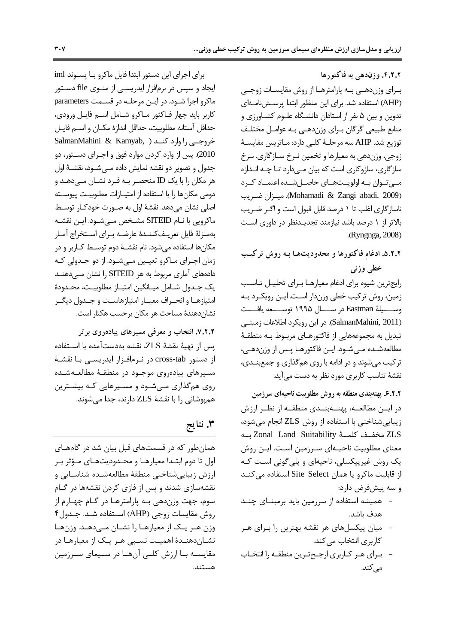۴.۲.۲. وزندهی به فاکتورها بـرای وزندهــی بــه پارامترهــا از روش مقایســات زوجــی (AHP) استفاده شد. برای این منظور ابتدا پرسـشiامـهای تدوین و بین ۵ نفر از استادان دانشـگاه علـوم کشـاورزی و منابع طبیعی گرگان بـرای وزن‹هـی بـه عوامـل مختلـف توزيع شد. AHP سه مرحلـهٔ كلـى دارد: مـاتريس مقايسـهٔ زوجي، وزندهي به معيارها و تخمين نـرخ سـازگاري. نـرخ سازگاری، سازوکاری است که بیان مـیدارد تـا چـه انـدازه مے توان بے اولویت های حاصل شده اعتمـاد کـرد (Mohamadi & Zangi abadi, 2009). ميزان ضريب ناسازگاری اغلب تا ۱ درصد قابل قبول است و اگـر ضـریب بالاتر از ١ درصد باشد نیازمند تجدیـدنظر در داوری است .(Ryngnga, 2008)

۵.۲.۲. ادغام فاكتورها و محدوديتها به روش تركيب خطي وزني

رايج ترين شيوه براى ادغام معيارهـا بـراى تحليـل تناسـب زمین، روش ترکیب خطی وزندار است. ایـن رویکـرد بـه وســــيلهٔ Eastman در ســــال ۱۹۹۵ توســــعه يافـــت (SalmanMahini, 2011). در این رویکرد اطلاعات زمینی تبدیل به مجموعههایی از فاکتورهـای مربــوط بــه منطقــهٔ مطالعهشـده مـي شـود. ايـن فاكتورهـا پـس از وزندهـي، ترکیب میشوند و در ادامه با روی همگذاری و جمعبندی، نقشهٔ تناسب کاربری مورد نظر به دست می آید.

۶.۲.۲ پهنهبندی منطقه به روش مطلوبیت ناحیهای سرزمین

در ایــن مطالعــه، پهنـــهبنــدی منطقــه از نظــر ارزش زيبايي شناختي با استفاده از روش ZLS انجام مي شود، ZLS مخفـف كلمــة Zonal Land Suitability بــه معنای مطلوبیت ناحیـهای سـرزمین اسـت. ایـن روش یک روش غیرپیکسلی، ناحیهای و پلیگونی است کـه از قابلیت ماکرو یا همان Site Select استفاده می کنـد و سه پیشفرض دارد:

- همیشه استفاده از سرزمین باید برمبنـای چنـد هدف باشد.
- میان پیکسلهای هر نقشه بهترین را بـرای هـر کا<sub>ر</sub>بری انتخاب مے کند. - بـرای هـر کـاربری ارجـحتـرین منطقـه را انتخـاب مے کند.

برای اجرای این دستور ابتدا فایل ماکرو با پسوند iml ایجاد و سپس در نرمافزار ایدریسـی از منــوی file دســتور ماکرو اجرا شـود. در ایـن مرحلـه در قسـمت parameters كاربر بايد چهار فـاكتور مـاكرو شـامل اسـم فايـل ورودى، حداقل آستانه مطلوبيت، حداقل اندازهٔ مكـان و اســم فايـل SalmanMahini & Kamyab, ) خروجے را وارد کنـد 2010). پس از وارد کردن موارد فوق و اجـرای دســتور، دو جدول و تصویر دو نقشه نمایش داده مـیشــود، نقشــهٔ اول هر مکان را با یک ID منحصـر بـه فـرد نشـان مــی،دهـد و دومی مکانها را با استفاده از امتیـازات مطلوبیـت پیوسـته اصلي نشان مي دهد. نقشهٔ اول به صـورت خودكـار توسـط ماكرويي با نــام SITEID مشـخص مــىشــود. ايــن نقشــه بهمنزلة فايل تعريـفكننـدة عارضـه بـراي اسـتخراج آمـار مکانها استفاده میشود. نام نقشـهٔ دوم توسـط کـاربر و در زمان اجـراي مـاكرو تعيـين مـيشـود. از دو جـدولي كـه دادههای آماری مربوط به هر SITEID را نشان مـیدهنـد يک جـدول شـامل ميـانگين امتيـاز مطلوبيـت، محـدودهٔ امتيازهـا و انحـراف معيــار امتيازهاســت و جــدول ديگــر نشان.دهندهٔ مساحت هر مکان برحسب هکتار است.

۰٫۲.۲ انتخاب و معرفی مسیرهای پیادهروی برتر يس از تهية نقشة ZLS، نقشه بهدستآمده با استفاده از دستور cross-tab در نـرمافـزار ايدريســي بـا نقشــهٔ مسیرهای پیادهروی موجـود در منطقـهٔ مطالعـهشـده روی همگذاری مهشود و مسیرهایی کـه بیشـترین همپوشانی را با نقشهٔ ZLS دارند، جدا می شوند.

# ۳. نتايج

همان طور که در قسمتهای قبل بیان شد در گامهای اول تا دوم ابتـدا معيارهـا و محـدوديتهـاي مـؤثر بـر ارزش زيبايي شناختي منطقهٔ مطالعه شده شناسـايي و نقشهسازی شدند و پس از فازی کردن نقشهها در گـام سوم، جهت وزندهي بـه پارامترهـا در گـام چهـارم از روش مقايسات زوجي (AHP) استفاده شـد. جـدول۴ وزن هـر يـك از معيارهـا را نشـان مـىدهـد. وزنهـا نشـاندهنـدهٔ اهمیـت نسـبی هـر یـک از معیارهـا در مقایســه بــا ارزش کلــی آنهــا در ســیمای ســرزمین  $\lambda$ :  $\lambda$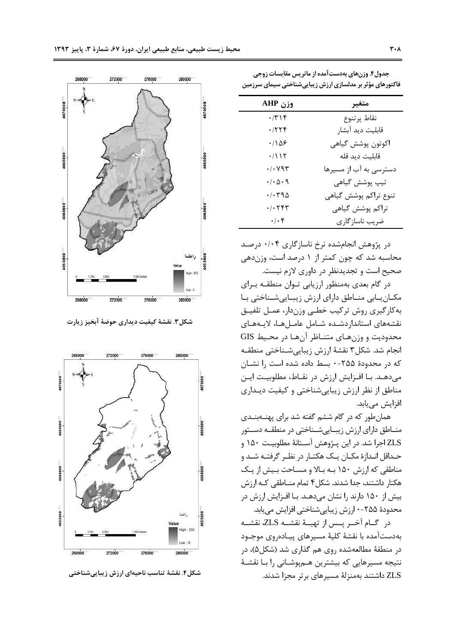| وزن AHP                                    | متغير                  |
|--------------------------------------------|------------------------|
| $\cdot$ /۳۱۴                               | نقاط پرتنوع            |
| .7799                                      | قابليت ديد آبشار       |
| .1108                                      | اكوتون پوشش گياهي      |
| .7117                                      | قابليت ديد قله         |
| $\cdot/\cdot$ $\vee$ 9 $\uparrow$          | دسترسی به آب از مسیرها |
| $\cdot/\cdot \vartriangle \cdot \vartheta$ | تيپ پوشش گياهي         |
| ۰/۰۳۹۵                                     | تنوع تراكم پوشش گياهي  |
| $\cdot$ / $\cdot$ $\uparrow$ $\uparrow$    | تراكم پوشش گياهي       |
| $\cdot/\cdot$ ۴                            | ضريب ناسازگاري         |

جدول۴. وزنهای بهدستآمده از ماتریس مقایسات زوجی

فاکتورهای مؤثر بر مدلسازی ارزش زیباییشناختی سیمای سرزمین

در پژوهش انجامشده نرخ ناسازگاری ۰/۰۴ درصد محاسبه شد که چون کمتر از ۱ درصد است، وزن دهی صحیح است و تجدیدنظر در داوری لازم نیست.

در گام بعدی بهمنظور ارزیابی تـوان منطقـه بـرای مکـان یـابی منـاطق دارای ارزش زیبـاییشـناختی بـا به کارگیری روش ترکیب خطبی وزندار، عمـل تلفیـق نقشههای استاندار دشده شامل عاملها، لایههای محدوديت و وزنهاى متنـاظر آنهـا در محـيط GIS انجام شد. شكل۳ نقشهٔ ارزش زیبایی شـناختی منطقـه که در محدودهٔ ۲۵۵-۰ بسط داده شده است ۱٫ نشـان می دهـد. بـا افـزایش ارزش در نقـاط، مطلوبیـت ایـن مناطق از نظر ارزش زیباییشناختی و کیفیت دیـداری افزایش مے یابد.

همان طور که در گام ششم گفته شد برای پهنــهبنــدی منــاطق داراي ارزش زيبــايي شــناختي در منطقــه دســتور ZLS اجرا شد. در این پـژوهش آسـتانهٔ مطلوبیـت ۱۵۰ و حـداقل انـدازهٔ مکـان یـک هکتـار در نظـر گرفتـه شـد و مناطقی که ارزش ۱۵۰ بـه بـالا و مسـاحت بـیش از یـک هکتار داشتند، جدا شدند. شکل۴ تمام منــاطقی کــه ارزش بیش از ۱۵۰ دارند را نشان میدهـد. بـا افـزایش ارزش در محدودهٔ ۲۵۵-۰ ارزش زیباییشناختی افزایش می یابد.

در گــام آخــر يــس از تهيــهٔ نقشــه ZLS، نقشــه بهدستآمده با نقشهٔ کلیهٔ مسیرهای پیـادهروی موجـود در منطقهٔ مطالعهشده روی هم گذاری شد (شکل۵)، در نتیجه مسیرهایی که بیشترین هـمپوشـانی را بـا نقشـهٔ ZLS داشتند بهمنزلهٔ مسیرهای برتر مجزا شدند.



شكل٣. نقشهٔ كيفيت ديداري حوضهٔ آبخيز زيارت



شکل۴. نقشهٔ تناسب ناحیهای ارزش زیباییشناختی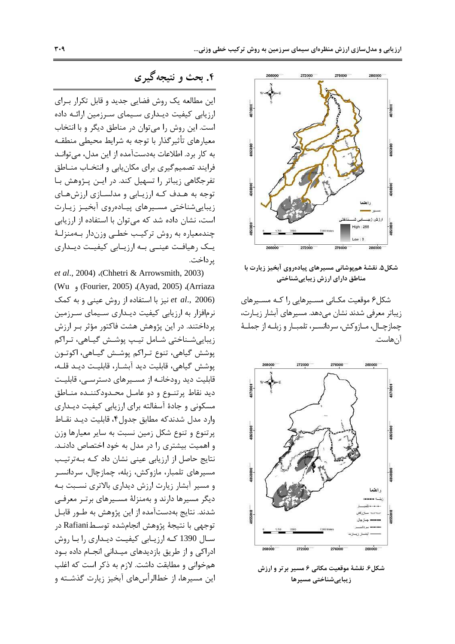

شکل۵. نقشهٔ هم بوشانی مسیرهای پیادهروی آبخیز زیارت با مناطق دارای ارزش زیباییشناختی

شکل۶ موقعیت مکـانی مســیرهایی را کـه مســیرهای زیباتر معرفی شدند نشان میدهد. مسیرهای آبشار زیـارت، چمازچـال، مــازوكش، سردانســر، تلمبــار و زبلــه از جملــهٔ آن هاست.



شکل۶. نقشهٔ موقعیت مکانی ۶ مسیر برتر و ارزش زيبايىشناختى مسيرها

۴. بحث و نتیجه گیری

این مطالعه یک روش فضایی جدید و قابل تکرار بـرای ارزیابی کیفیت دیـداری سـیمای سـرزمین ارائـه داده است. این روش را می توان در مناطق دیگر و با انتخاب معیارهای تأثیرگذار با توجه به شرایط محیطی منطقـه به کار برد. اطلاعات بهدستآمده از این مدل، میتوانـد فرایند تصمیمگیری برای مکان یابی و انتخـاب منـاطق تفرجگاهی زیباتر را تسهیل کند. در ایـن پـژوهش بـا توجه به هدف که ارزیابی و مدلسازی ارزشهای زيبايى شناختى مسيرهاى پيادەروى أبخيـز زيـارت است، نشان داده شد که می توان با استفاده از ارزیابی چندمعیاره به روش ترکیب خطبی وزندار بـهمنزلـهٔ یـک رهیافـت عینـی بـه ارزیـابی کیفیـت دیـداری پر داخت.

et al., 2004) (Chhetri & Arrowsmith, 2003) (Arriaza)، (Ayad, 2005)، (Ayad, 2005) و Wu) نیز با استفاده از روش عینی و به کمک et al., 2006) نرمافزار به ارزیابی کیفیت دیـداری سـیمای سـرزمین پرداختند. در این پژوهش هشت فاکتور مؤثر بـر ارزش زیباییشـناختی شـامل تیـپ پوشـش گیـاهی، تـراکم پوشش گیاهی، تنوع تـراکم پوشـش گیـاهی، اکوتـون يوشش گياهي، قابليت ديد آبشـار، قابليـت ديـد قلـه، قابلیت دید رودخانـه از مسـیرهای دسترسـی، قابلیـت ديد نقاط پرتنـوع و دو عامـل محـدودكننـده منـاطق مسکونی و جادهٔ آسفالته برای ارزیابی کیفیت دیـداری وارد مدل شدندكه مطابق جدول۴، قابلیت دیـد نقـاط پرتنوع و تنوع شکل زمین نسبت به سایر معیارها وزن و اهمیت بیشتری را در مدل به خود اختصاص دادنـد. نتایج حاصل از ارزیابی عینی نشان داد کـه بـهترتیـب مسیرهای تلمبار، مازوکش، زبله، چمازچال، سردانسـر و مسیر آبشار زیارت ارزش دیداری بالاتری نسـبت بـه دیگر مسیرها دارند و بهمنزلهٔ مسـیرهای برتـر معرفـی شدند. نتایج بهدستآمده از این پژوهش به طـور قابـل توجهي با نتيجة يژوهش انجامشده توسـطRafiani در سـال 1390 كـه ارزيـابي كيفيـت ديـداري را بـا روش ادراکی و از طریق بازدیدهای میـدانی انجـام داده بـود همخوانی و مطابقت داشت. لازم به ذکر است که اغلب این مسیرها، از خطالرأسهای آبخیز زیارت گذشــته و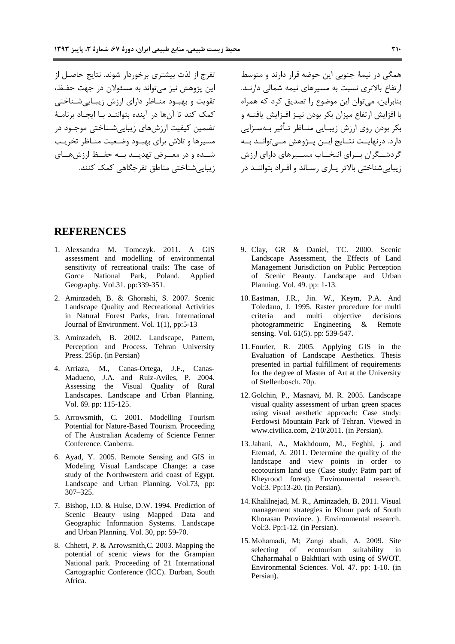تفرج از لذت بیشتری برخوردار شوند. نتایج حاصـل از اين پژوهش نيز مي تواند به مسئولان در جهت حفـظ، تقویت و بهبود مناظر دارای ارزش زیباییشناختی كمك كند تا آنها در آینده بتواننید با ایجیاد برنامیهٔ تضمین کیفیت ارزش های زیبایی شـناختی موجـود در مسيرها وتلاش براى بهب و وضعيت منـاظر تخريب شــده و در معــرض تهديــد بــه حفــظ ارزشهــاي زيبايي شناختي مناطق تفرجگاهي كمک كنند. همگی در نیمهٔ جنوبی این حوضه قرار دارند و متوسط ارتفاع بالاتری نسبت به مسیرهای نیمه شمالی دارنـد. بنابراین، می توان این موضوع را تصدیق کرد که همراه با افزایش ارتفاع میزان بکر بودن نیـز افـزایش یافتـه و بکر بودن روی ارزش زیبـایی منــاظر تــأثیر بــهســزایی دارد. درنهایــت نتــایج ایــن پــژوهش مــیتوانــد بــه گردشـــگران بـــرای انتخـــاب مســـیرهای دارای ارزش زیبایی شناختی بالاتر پاری رساند و افراد بتواننـد در

### **REFERENCES**

- 1. Alexsandra M. Tomczyk. 2011. A GIS assessment and modelling of environmental sensitivity of recreational trails: The case of Gorce National Park, Poland. Applied Geography. Vol.31. pp:339-351.
- 2. Aminzadeh, B. & Ghorashi, S. 2007. Scenic Landscape Ouality and Recreational Activities in Natural Forest Parks, Iran. International Journal of Environment. Vol. 1(1), pp:5-13
- 3. Aminzadeh, B. 2002. Landscape, Pattern, Perception and Process. Tehran University Press. 256p. (in Persian)
- 4. Arriaza, M., Canas-Ortega, J.F., Canas-Madueno, J.A. and Ruiz-Aviles, P. 2004. Assessing the Visual Quality of Rural Landscapes. Landscape and Urban Planning. Vol. 69. pp: 115-125.
- 5. Arrowsmith, C. 2001. Modelling Tourism Potential for Nature-Based Tourism. Proceeding of The Australian Academy of Science Fenner Conference. Canberra.
- 6. Ayad, Y. 2005. Remote Sensing and GIS in Modeling Visual Landscape Change: a case study of the Northwestern arid coast of Egypt. Landscape and Urban Planning. Vol.73, pp:  $307 - 325$ .
- 7. Bishop, I.D. & Hulse, D.W. 1994. Prediction of Scenic Beauty using Mapped Data and Geographic Information Systems. Landscape and Urban Planning. Vol. 30, pp: 59-70.
- 8. Chhetri, P. & Arrowsmith, C. 2003. Mapping the potential of scenic views for the Grampian National park. Proceeding of 21 International Cartographic Conference (ICC). Durban, South Africa.
- 9. Clay, GR & Daniel, TC. 2000. Scenic Landscape Assessment, the Effects of Land Management Jurisdiction on Public Perception of Scenic Beauty. Landscape and Urban Planning. Vol. 49. pp: 1-13.
- 10. Eastman, J.R., Jin. W., Keym, P.A. And Toledano, J. 1995. Raster procedure for multi criteria and multi objective decisions photogrammetric Engineering  $\&$ Remote sensing. Vol. 61(5). pp: 539-547.
- 11. Fourier, R. 2005. Applying GIS in the Evaluation of Landscape Aesthetics. Thesis presented in partial fulfillment of requirements for the degree of Master of Art at the University of Stellenbosch. 70p.
- 12. Golchin, P., Masnavi, M. R. 2005. Landscape visual quality assessment of urban green spaces using visual aesthetic approach: Case study: Ferdowsi Mountain Park of Tehran. Viewed in www.civilica.com, 2/10/2011. (in Persian).
- 13. Jahani, A., Makhdoum, M., Feghhi, j. and Etemad, A. 2011. Determine the quality of the landscape and view points in order to ecotourism land use (Case study: Patm part of Kheyrood forest). Environmental research. Vol:3. Pp:13-20. (in Persian).
- 14. Khalilnejad, M. R., Aminzadeh, B. 2011. Visual management strategies in Khour park of South Khorasan Province. ). Environmental research. Vol:3. Pp:1-12. (in Persian).
- 15. Mohamadi, M; Zangi abadi, A. 2009. Site selecting of ecotourism suitability in Chaharmahal o Bakhtiari with using of SWOT. Environmental Sciences. Vol. 47. pp: 1-10. (in Persian).